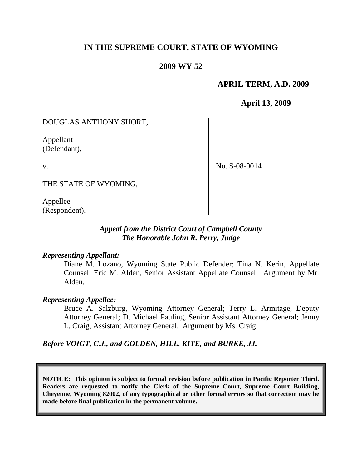# **IN THE SUPREME COURT, STATE OF WYOMING**

## **2009 WY 52**

## **APRIL TERM, A.D. 2009**

**April 13, 2009**

DOUGLAS ANTHONY SHORT,

Appellant (Defendant),

v.

No. S-08-0014

THE STATE OF WYOMING,

Appellee (Respondent).

## *Appeal from the District Court of Campbell County The Honorable John R. Perry, Judge*

## *Representing Appellant:*

Diane M. Lozano, Wyoming State Public Defender; Tina N. Kerin, Appellate Counsel; Eric M. Alden, Senior Assistant Appellate Counsel. Argument by Mr. Alden.

## *Representing Appellee:*

Bruce A. Salzburg, Wyoming Attorney General; Terry L. Armitage, Deputy Attorney General; D. Michael Pauling, Senior Assistant Attorney General; Jenny L. Craig, Assistant Attorney General. Argument by Ms. Craig.

## *Before VOIGT, C.J., and GOLDEN, HILL, KITE, and BURKE, JJ.*

**NOTICE: This opinion is subject to formal revision before publication in Pacific Reporter Third. Readers are requested to notify the Clerk of the Supreme Court, Supreme Court Building, Cheyenne, Wyoming 82002, of any typographical or other formal errors so that correction may be made before final publication in the permanent volume.**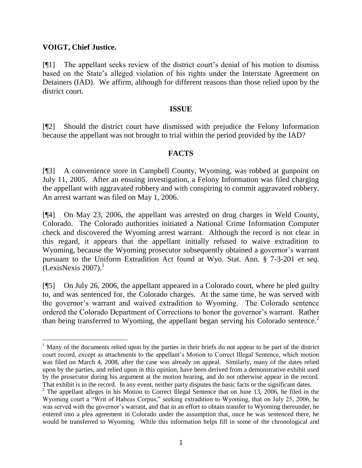## **VOIGT, Chief Justice.**

[¶1] The appellant seeks review of the district court's denial of his motion to dismiss based on the State's alleged violation of his rights under the Interstate Agreement on Detainers (IAD). We affirm, although for different reasons than those relied upon by the district court.

#### **ISSUE**

[¶2] Should the district court have dismissed with prejudice the Felony Information because the appellant was not brought to trial within the period provided by the IAD?

## **FACTS**

[¶3] A convenience store in Campbell County, Wyoming, was robbed at gunpoint on July 11, 2005. After an ensuing investigation, a Felony Information was filed charging the appellant with aggravated robbery and with conspiring to commit aggravated robbery. An arrest warrant was filed on May 1, 2006.

[¶4] On May 23, 2006, the appellant was arrested on drug charges in Weld County, Colorado. The Colorado authorities initiated a National Crime Information Computer check and discovered the Wyoming arrest warrant. Although the record is not clear in this regard, it appears that the appellant initially refused to waive extradition to Wyoming, because the Wyoming prosecutor subsequently obtained a governor's warrant pursuant to the Uniform Extradition Act found at Wyo. Stat. Ann. § 7-3-201 *et seq.*  $[LexisNexis 2007].$ <sup>1</sup>

[¶5] On July 26, 2006, the appellant appeared in a Colorado court, where he pled guilty to, and was sentenced for, the Colorado charges. At the same time, he was served with the governor's warrant and waived extradition to Wyoming. The Colorado sentence ordered the Colorado Department of Corrections to honor the governor's warrant. Rather than being transferred to Wyoming, the appellant began serving his Colorado sentence.<sup>2</sup>

<sup>&</sup>lt;sup>1</sup> Many of the documents relied upon by the parties in their briefs do not appear to be part of the district court record, except as attachments to the appellant's Motion to Correct Illegal Sentence, which motion was filed on March 4, 2008, after the case was already on appeal. Similarly, many of the dates relied upon by the parties, and relied upon in this opinion, have been derived from a demonstrative exhibit used by the prosecutor during his argument at the motion hearing, and do not otherwise appear in the record. That exhibit is in the record. In any event, neither party disputes the basic facts or the significant dates.

<sup>&</sup>lt;sup>2</sup> The appellant alleges in his Motion to Correct Illegal Sentence that on June 13, 2006, he filed in the Wyoming court a "Writ of Habeas Corpus," seeking extradition to Wyoming, that on July 25, 2006, he was served with the governor's warrant, and that in an effort to obtain transfer to Wyoming thereunder, he entered into a plea agreement in Colorado under the assumption that, once he was sentenced there, he would be transferred to Wyoming. While this information helps fill in some of the chronological and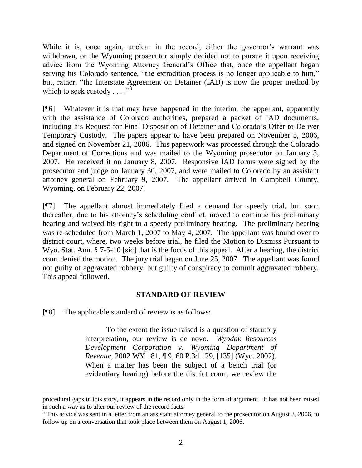While it is, once again, unclear in the record, either the governor's warrant was withdrawn, or the Wyoming prosecutor simply decided not to pursue it upon receiving advice from the Wyoming Attorney General's Office that, once the appellant began serving his Colorado sentence, "the extradition process is no longer applicable to him," but, rather, "the Interstate Agreement on Detainer (IAD) is now the proper method by which to seek custody  $\ldots$ .  $\cdot$ <sup>3</sup>

[¶6] Whatever it is that may have happened in the interim, the appellant, apparently with the assistance of Colorado authorities, prepared a packet of IAD documents, including his Request for Final Disposition of Detainer and Colorado's Offer to Deliver Temporary Custody. The papers appear to have been prepared on November 5, 2006, and signed on November 21, 2006. This paperwork was processed through the Colorado Department of Corrections and was mailed to the Wyoming prosecutor on January 3, 2007. He received it on January 8, 2007. Responsive IAD forms were signed by the prosecutor and judge on January 30, 2007, and were mailed to Colorado by an assistant attorney general on February 9, 2007. The appellant arrived in Campbell County, Wyoming, on February 22, 2007.

[¶7] The appellant almost immediately filed a demand for speedy trial, but soon thereafter, due to his attorney's scheduling conflict, moved to continue his preliminary hearing and waived his right to a speedy preliminary hearing. The preliminary hearing was re-scheduled from March 1, 2007 to May 4, 2007. The appellant was bound over to district court, where, two weeks before trial, he filed the Motion to Dismiss Pursuant to Wyo. Stat. Ann. § 7-5-10 [sic] that is the focus of this appeal. After a hearing, the district court denied the motion. The jury trial began on June 25, 2007. The appellant was found not guilty of aggravated robbery, but guilty of conspiracy to commit aggravated robbery. This appeal followed.

## **STANDARD OF REVIEW**

[¶8] The applicable standard of review is as follows:

To the extent the issue raised is a question of statutory interpretation, our review is de novo. *Wyodak Resources Development Corporation v. Wyoming Department of Revenue*, 2002 WY 181, ¶ 9, 60 P.3d 129, [135] (Wyo. 2002). When a matter has been the subject of a bench trial (or evidentiary hearing) before the district court, we review the

procedural gaps in this story, it appears in the record only in the form of argument. It has not been raised in such a way as to alter our review of the record facts.

<sup>&</sup>lt;sup>3</sup> This advice was sent in a letter from an assistant attorney general to the prosecutor on August 3, 2006, to follow up on a conversation that took place between them on August 1, 2006.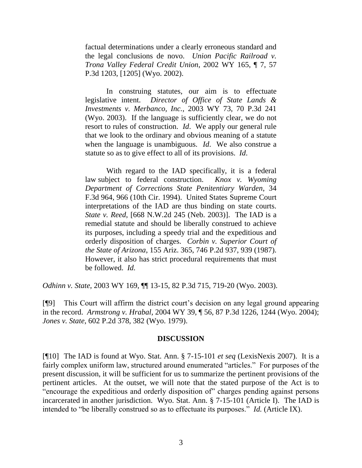factual determinations under a clearly erroneous standard and the legal conclusions de novo. *Union Pacific Railroad v. Trona Valley Federal Credit Union*, 2002 WY 165, ¶ 7, 57 P.3d 1203, [1205] (Wyo. 2002).

In construing statutes, our aim is to effectuate legislative intent. *Director of Office of State Lands & Investments v. Merbanco, Inc.*, 2003 WY 73, 70 P.3d 241 (Wyo. 2003). If the language is sufficiently clear, we do not resort to rules of construction. *Id*. We apply our general rule that we look to the ordinary and obvious meaning of a statute when the language is unambiguous. *Id*. We also construe a statute so as to give effect to all of its provisions. *Id*.

With regard to the IAD specifically, it is a federal law subject to federal construction. *Knox v. Wyoming Department of Corrections State Penitentiary Warden*, 34 F.3d 964, 966 (10th Cir. 1994). United States Supreme Court interpretations of the IAD are thus binding on state courts. *State v. Reed*, [668 N.W.2d 245 (Neb. 2003)]. The IAD is a remedial statute and should be liberally construed to achieve its purposes, including a speedy trial and the expeditious and orderly disposition of charges. *Corbin v. Superior Court of the State of Arizona*, 155 Ariz. 365, 746 P.2d 937, 939 (1987). However, it also has strict procedural requirements that must be followed. *Id.*

*Odhinn v. State*, 2003 WY 169, ¶¶ 13-15, 82 P.3d 715, 719-20 (Wyo. 2003).

[¶9] This Court will affirm the district court's decision on any legal ground appearing in the record. *Armstrong v. Hrabal*, 2004 WY 39, ¶ 56, 87 P.3d 1226, 1244 (Wyo. 2004); *Jones v. State*, 602 P.2d 378, 382 (Wyo. 1979).

## **DISCUSSION**

[¶10] The IAD is found at Wyo. Stat. Ann. § 7-15-101 *et seq* (LexisNexis 2007). It is a fairly complex uniform law, structured around enumerated "articles." For purposes of the present discussion, it will be sufficient for us to summarize the pertinent provisions of the pertinent articles. At the outset, we will note that the stated purpose of the Act is to "encourage the expeditious and orderly disposition of" charges pending against persons incarcerated in another jurisdiction. Wyo. Stat. Ann. § 7-15-101 (Article I). The IAD is intended to "be liberally construed so as to effectuate its purposes." *Id.* (Article IX).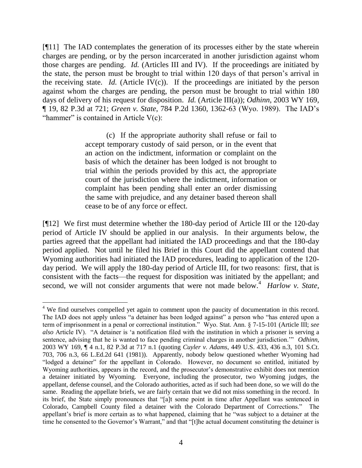[¶11] The IAD contemplates the generation of its processes either by the state wherein charges are pending, or by the person incarcerated in another jurisdiction against whom those charges are pending. *Id.* (Articles III and IV). If the proceedings are initiated by the state, the person must be brought to trial within 120 days of that person's arrival in the receiving state. *Id.* (Article IV(c)). If the proceedings are initiated by the person against whom the charges are pending, the person must be brought to trial within 180 days of delivery of his request for disposition. *Id.* (Article III(a)); *Odhinn*, 2003 WY 169, ¶ 19, 82 P.3d at 721; *Green v. State*, 784 P.2d 1360, 1362-63 (Wyo. 1989). The IAD's "hammer" is contained in Article  $V(c)$ :

> (c) If the appropriate authority shall refuse or fail to accept temporary custody of said person, or in the event that an action on the indictment, information or complaint on the basis of which the detainer has been lodged is not brought to trial within the periods provided by this act, the appropriate court of the jurisdiction where the indictment, information or complaint has been pending shall enter an order dismissing the same with prejudice, and any detainer based thereon shall cease to be of any force or effect.

[¶12] We first must determine whether the 180-day period of Article III or the 120-day period of Article IV should be applied in our analysis. In their arguments below, the parties agreed that the appellant had initiated the IAD proceedings and that the 180-day period applied. Not until he filed his Brief in this Court did the appellant contend that Wyoming authorities had initiated the IAD procedures, leading to application of the 120 day period. We will apply the 180-day period of Article III, for two reasons: first, that is consistent with the facts—the request for disposition was initiated by the appellant; and second, we will not consider arguments that were not made below.<sup>4</sup> *Harlow v. State*,

 <sup>4</sup> We find ourselves compelled yet again to comment upon the paucity of documentation in this record. The IAD does not apply unless "a detainer has been lodged against" a person who "has entered upon a term of imprisonment in a penal or correctional institution.‖ Wyo. Stat. Ann. § 7-15-101 (Article III; *see also* Article IV). "A detainer is 'a notification filed with the institution in which a prisoner is serving a sentence, advising that he is wanted to face pending criminal charges in another jurisdiction." *Odhinn*, 2003 WY 169, ¶ 4 n.1, 82 P.3d at 717 n.1 (quoting *Cuyler v. Adams*, 449 U.S. 433, 436 n.3, 101 S.Ct. 703, 706 n.3, 66 L.Ed.2d 641 (1981)). Apparently, nobody below questioned whether Wyoming had "lodged a detainer" for the appellant in Colorado. However, no document so entitled, initiated by Wyoming authorities, appears in the record, and the prosecutor's demonstrative exhibit does not mention a detainer initiated by Wyoming. Everyone, including the prosecutor, two Wyoming judges, the appellant, defense counsel, and the Colorado authorities, acted as if such had been done, so we will do the same. Reading the appellate briefs, we are fairly certain that we did not miss something in the record. In its brief, the State simply pronounces that "[a]t some point in time after Appellant was sentenced in Colorado, Campbell County filed a detainer with the Colorado Department of Corrections." The appellant's brief is more certain as to what happened, claiming that he "was subject to a detainer at the time he consented to the Governor's Warrant," and that "[t]he actual document constituting the detainer is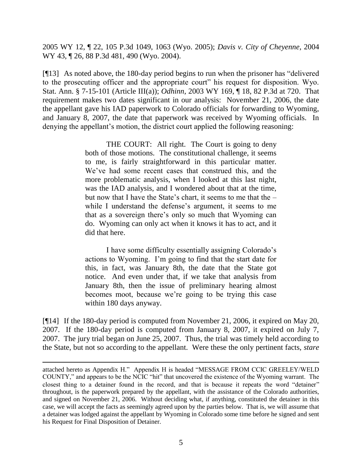2005 WY 12, ¶ 22, 105 P.3d 1049, 1063 (Wyo. 2005); *Davis v. City of Cheyenne*, 2004 WY 43, ¶ 26, 88 P.3d 481, 490 (Wyo. 2004).

 $[913]$  As noted above, the 180-day period begins to run when the prisoner has "delivered" to the prosecuting officer and the appropriate court" his request for disposition. Wyo. Stat. Ann. § 7-15-101 (Article III(a)); *Odhinn*, 2003 WY 169, ¶ 18, 82 P.3d at 720. That requirement makes two dates significant in our analysis: November 21, 2006, the date the appellant gave his IAD paperwork to Colorado officials for forwarding to Wyoming, and January 8, 2007, the date that paperwork was received by Wyoming officials. In denying the appellant's motion, the district court applied the following reasoning:

> THE COURT: All right. The Court is going to deny both of those motions. The constitutional challenge, it seems to me, is fairly straightforward in this particular matter. We've had some recent cases that construed this, and the more problematic analysis, when I looked at this last night, was the IAD analysis, and I wondered about that at the time, but now that I have the State's chart, it seems to me that the – while I understand the defense's argument, it seems to me that as a sovereign there's only so much that Wyoming can do. Wyoming can only act when it knows it has to act, and it did that here.

> I have some difficulty essentially assigning Colorado's actions to Wyoming. I'm going to find that the start date for this, in fact, was January 8th, the date that the State got notice. And even under that, if we take that analysis from January 8th, then the issue of preliminary hearing almost becomes moot, because we're going to be trying this case within 180 days anyway.

[¶14] If the 180-day period is computed from November 21, 2006, it expired on May 20, 2007. If the 180-day period is computed from January 8, 2007, it expired on July 7, 2007. The jury trial began on June 25, 2007. Thus, the trial was timely held according to the State, but not so according to the appellant. Were these the only pertinent facts, *stare* 

attached hereto as Appendix H." Appendix H is headed "MESSAGE FROM CCIC GREELEY/WELD COUNTY," and appears to be the NCIC "hit" that uncovered the existence of the Wyoming warrant. The closest thing to a detainer found in the record, and that is because it repeats the word "detainer" throughout, is the paperwork prepared by the appellant, with the assistance of the Colorado authorities, and signed on November 21, 2006. Without deciding what, if anything, constituted the detainer in this case, we will accept the facts as seemingly agreed upon by the parties below. That is, we will assume that a detainer was lodged against the appellant by Wyoming in Colorado some time before he signed and sent his Request for Final Disposition of Detainer.